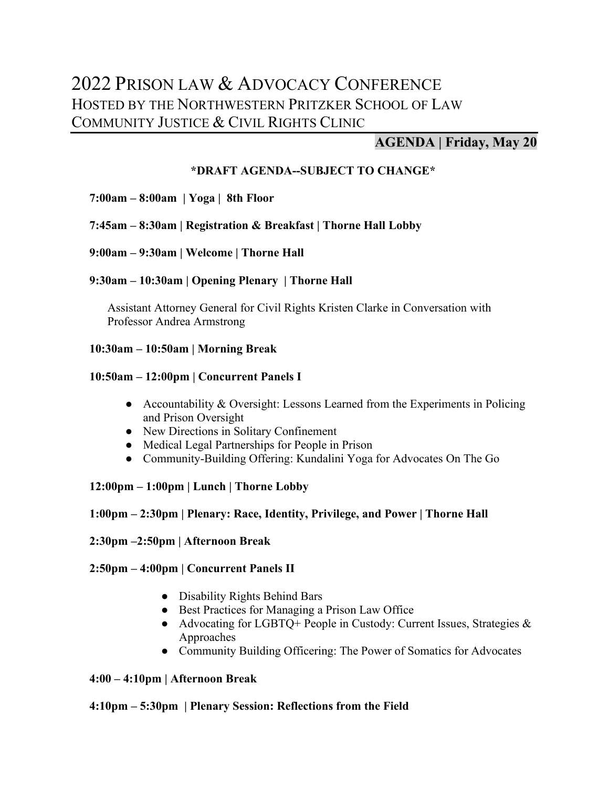# 2022 PRISON LAW & ADVOCACY CONFERENCE HOSTED BY THE NORTHWESTERN PRITZKER SCHOOL OF LAW COMMUNITY JUSTICE & CIVIL RIGHTS CLINIC

# **AGENDA | Friday, May 20**

# **\*DRAFT AGENDA--SUBJECT TO CHANGE\***

# **7:00am – 8:00am | Yoga | 8th Floor**

# **7:45am – 8:30am | Registration & Breakfast | Thorne Hall Lobby**

# **9:00am – 9:30am | Welcome | Thorne Hall**

# **9:30am – 10:30am | Opening Plenary | Thorne Hall**

Assistant Attorney General for Civil Rights Kristen Clarke in Conversation with Professor Andrea Armstrong

# **10:30am – 10:50am | Morning Break**

# **10:50am – 12:00pm | Concurrent Panels I**

- Accountability & Oversight: Lessons Learned from the Experiments in Policing and Prison Oversight
- New Directions in Solitary Confinement
- Medical Legal Partnerships for People in Prison
- Community-Building Offering: Kundalini Yoga for Advocates On The Go

# **12:00pm – 1:00pm | Lunch | Thorne Lobby**

# **1:00pm – 2:30pm | Plenary: Race, Identity, Privilege, and Power | Thorne Hall**

#### **2:30pm –2:50pm | Afternoon Break**

# **2:50pm – 4:00pm | Concurrent Panels II**

- Disability Rights Behind Bars
- Best Practices for Managing a Prison Law Office
- Advocating for LGBTQ+ People in Custody: Current Issues, Strategies & Approaches
- Community Building Officering: The Power of Somatics for Advocates

#### **4:00 – 4:10pm | Afternoon Break**

#### **4:10pm – 5:30pm | Plenary Session: Reflections from the Field**